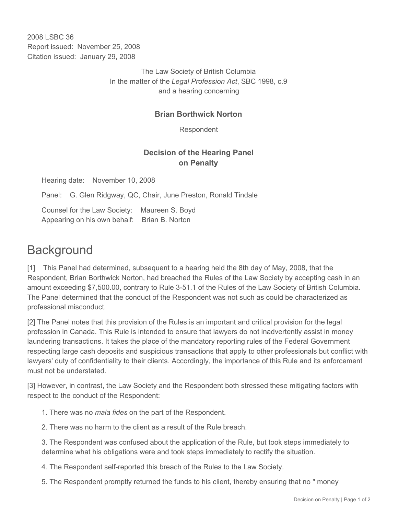2008 LSBC 36 Report issued: November 25, 2008 Citation issued: January 29, 2008

> The Law Society of British Columbia In the matter of the *Legal Profession Act*, SBC 1998, c.9 and a hearing concerning

## **Brian Borthwick Norton**

Respondent

## **Decision of the Hearing Panel on Penalty**

Hearing date: November 10, 2008

Panel: G. Glen Ridgway, QC, Chair, June Preston, Ronald Tindale

Counsel for the Law Society: Maureen S. Boyd Appearing on his own behalf: Brian B. Norton

## **Background**

[1] This Panel had determined, subsequent to a hearing held the 8th day of May, 2008, that the Respondent, Brian Borthwick Norton, had breached the Rules of the Law Society by accepting cash in an amount exceeding \$7,500.00, contrary to Rule 3-51.1 of the Rules of the Law Society of British Columbia. The Panel determined that the conduct of the Respondent was not such as could be characterized as professional misconduct.

[2] The Panel notes that this provision of the Rules is an important and critical provision for the legal profession in Canada. This Rule is intended to ensure that lawyers do not inadvertently assist in money laundering transactions. It takes the place of the mandatory reporting rules of the Federal Government respecting large cash deposits and suspicious transactions that apply to other professionals but conflict with lawyers' duty of confidentiality to their clients. Accordingly, the importance of this Rule and its enforcement must not be understated.

[3] However, in contrast, the Law Society and the Respondent both stressed these mitigating factors with respect to the conduct of the Respondent:

1. There was no *mala fides* on the part of the Respondent.

2. There was no harm to the client as a result of the Rule breach.

3. The Respondent was confused about the application of the Rule, but took steps immediately to determine what his obligations were and took steps immediately to rectify the situation.

4. The Respondent self-reported this breach of the Rules to the Law Society.

5. The Respondent promptly returned the funds to his client, thereby ensuring that no " money